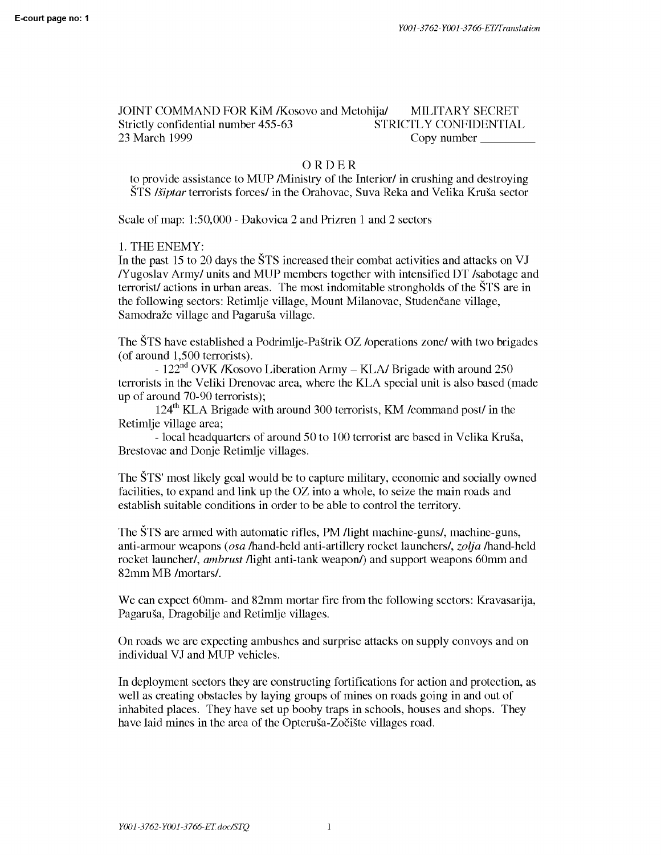JOINT COMMAND FOR KiM /Kosovo and Metohija/ MILITARY SECRET Strictly confidential number 455-63 STRICTLY CONFIDENTIAL 23 March 1999 Copy number

## ORDER

to provide assistance to MUP /Ministry of the Interior/ in crushing and destroying STS *lsiptar* terrorists forces/ in the Orahovac, Suva Reka and Velika Krusa sector

Scale of map: 1:50,000 - Dakovica 2 and Prizren 1 and 2 sectors

1. THE ENEMY:

In the past 15 to 20 days the STS increased their combat activities and attacks on VJ /Yugoslav Army/ units and MUP members together with intensified DT /sabotage and terrorist/ actions in urban areas. The most indomitable strongholds of the STS are in the following sectors: Retimlje village, Mount Milanovac, Studenčane village, Samodraže village and Pagaruša village.

The STS have established a Podrimlje-Pastrik OZ /operations zone/ with two brigades (of around 1,500 terrorists).

-  $122<sup>nd</sup>$  OVK /Kosovo Liberation Army – KLA/ Brigade with around 250 terrorists in the Veliki Drenovac area, where the KLA special unit is also based (made up of around 70-90 terrorists);

124th KLA Brigade with around 300 terrorists, KM /command post/ in the Retimlje village area;

- local headquarters of around 50 to 100 terrorist are based in Velika Krusa, Brestovac and Donje Retimlje villages.

The STS' most likely goal would be to capture military, economic and socially owned facilities, to expand and link up the OZ into a whole, to seize the main roads and establish suitable conditions in order to be able to control the territory.

The STS are armed with automatic rifles, PM /light machine-guns/, machine-guns, anti-armour weapons *(osa* /hand-held anti-artillery rocket launchers/, *zolja* /hand-held rocket launcher/, *ambrust* /light anti-tank weapon/) and support weapons 60mm and 82mm MB /mortars/.

We can expect 60mm- and 82mm mortar fire from the following sectors: Kravasarija, Pagarusa, Dragobilje and Retimlje villages.

On roads we are expecting ambushes and surprise attacks on supply convoys and on individual VJ and MUP vehicles.

In deployment sectors they are constructing fortifications for action and protection, as well as creating obstacles by laying groups of mines on roads going in and out of inhabited places. They have set up booby traps in schools, houses and shops. They have laid mines in the area of the Opterusa-Zociste villages road.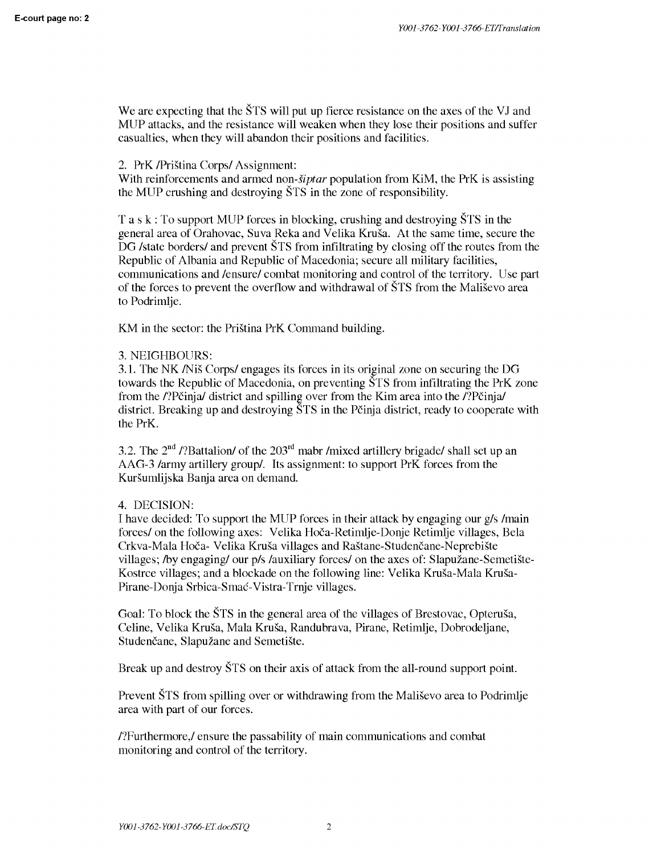We are expecting that the  $\text{STS}$  will put up fierce resistance on the axes of the VJ and MUP attacks, and the resistance will weaken when they lose their positions and suffer casualties, when they will abandon their positions and facilities.

# 2. PrK /Pristina Corps/ Assignment:

With reinforcements and armed *non-siptar* population from KiM, the PrK is assisting the MUP crushing and destroying STS in the zone of responsibility.

Task: To support MUP forces in blocking, crushing and destroying STS in the general area of Orahovac, Suva Reka and Velika Krusa. At the same time, secure the DG /state borders/ and prevent  $\overline{S}$ TS from infiltrating by closing off the routes from the Republic of Albania and Republic of Macedonia; secure all military facilities, communications and /ensure/ combat monitoring and control of the territory. Use part of the forces to prevent the overflow and withdrawal of STS from the Malisevo area to Podrimlje.

KM in the sector: the Pristina PrK Command building.

# 3. NEIGHBOURS:

3.1. The NK /Nis Corps/ engages its forces in its original zone on securing the DG towards the Republic of Macedonia, on preventing STS from infiltrating the PrK zone from the /?Pčinja/ district and spilling over from the Kim area into the /?Pčinja/ district. Breaking up and destroying  $\text{\r{STS}}$  in the Pčinja district, ready to cooperate with the PrK.

3.2. The  $2<sup>nd</sup>$  /?Battalion/ of the  $203<sup>rd</sup>$  mabr /mixed artillery brigade/ shall set up an AAG-3 /army artillery group/. Its assignment: to support PrK forces from the Kursumlijska Banja area on demand.

# 4. DECISION:

I have decided: To support the MUP forces in their attack by engaging our g/s /main forces/ on the following axes: Velika Hoca-Retimlje-Donje Retimlje villages, Bela Crkva-Mala Hoča- Velika Kruša villages and Raštane-Studenčane-Neprebište villages; /by engaging/ our p/s /auxiliary forces/ on the axes of: Slapuzane-Semetiste-Kostrce villages; and a blockade on the following line: Velika Krusa-Mala Krusa-Pirane-Donja Srbica-Smac-Vistra-Trnje villages.

Goal: To block the STS in the general area of the villages of Brestovac, Opterusa, Celine, Velika Krusa, Mala Krusa, Randubrava, Pirane, Retimlje, Dobrodeljane, Studenčane, Slapužane and Semetište.

Break up and destroy STS on their axis of attack from the all-round support point.

Prevent STS from spilling over or withdrawing from the Malisevo area to Podrimlje area with part of our forces.

/?Furthermore,/ ensure the passability of main communications and combat monitoring and control of the territory.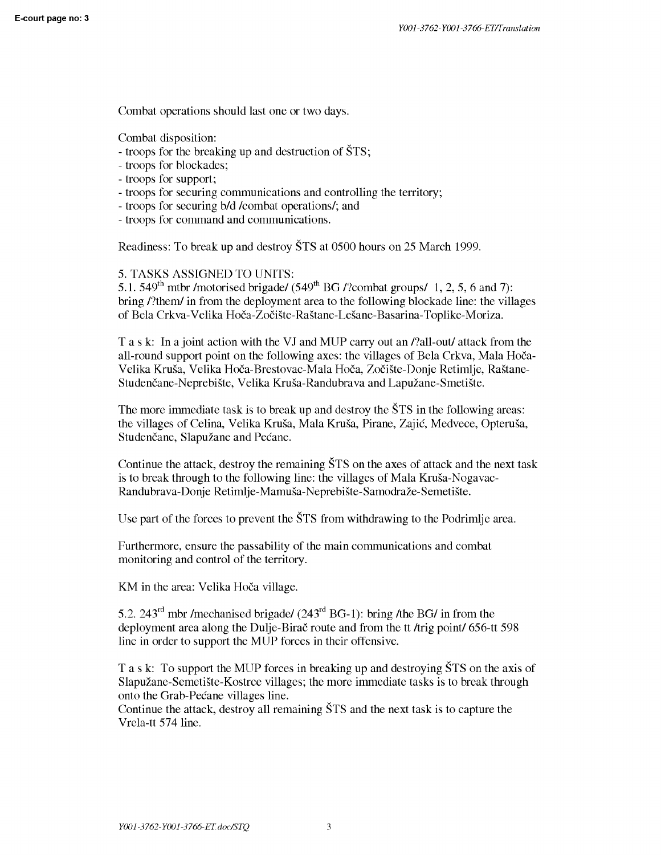Combat operations should last one or two days.

Combat disposition:

- troops for the breaking up and destruction of STS;
- troops for blockades;
- troops for support;
- troops for securing communications and controlling the territory;
- troops for securing b/d /combat operations/; and
- troops for command and communications.

Readiness: To break up and destroy STS at 0500 hours on 25 March 1999.

5. TASKS ASSIGNED TO UNITS:

5.1. 549<sup>th</sup> mtbr /motorised brigade/ (549<sup>th</sup> BG /?combat groups/ 1, 2, 5, 6 and 7): bring /?them/ in from the deployment area to the following blockade line: the villages of Bela Crkva-Velika Hoča-Zočište-Raštane-Lešane-Basarina-Toplike-Moriza.

Task: In a joint action with the VJ and MUP carry out an /?all-out/ attack from the all-round support point on the following axes: the villages of Bela Crkva, Mala Hoca-Velika Kruša, Velika Hoča-Brestovac-Mala Hoča, Zočište-Donje Retimlje, Raštane-Studenčane-Neprebište, Velika Kruša-Randubrava and Lapužane-Smetište.

The more immediate task is to break up and destroy the  $\text{\r{STS}}$  in the following areas: the villages of Celina, Velika Krusa, Mala Krusa, Pirane, Zajic, Medvece, Opterusa, Studenčane, Slapužane and Pećane.

Continue the attack, destroy the remaining STS on the axes of attack and the next task is to break through to the following line: the villages of Mala Krusa-Nogavac-Randubrava-Donje Retimlje-Mamuša-Neprebište-Samodraže-Semetište.

Use part of the forces to prevent the STS from withdrawing to the Podrimlje area.

Furthermore, ensure the passability of the main communications and combat monitoring and control of the territory.

KM in the area: Velika Hoča village.

5.2. 243<sup>rd</sup> mbr /mechanised brigade/  $(243<sup>rd</sup> BG-1)$ : bring /the BG/ in from the deployment area along the Dulje-Birac route and from the tt /trig point/ 656-tt 598 line in order to support the MUP forces in their offensive.

Task: To support the MUP forces in breaking up and destroying STS on the axis of Slapuzane-Semetiste-Kostrce villages; the more immediate tasks is to break through onto the Grab-Pecane villages line.

Continue the attack, destroy all remaining STS and the next task is to capture the Vrela-tt 574 line.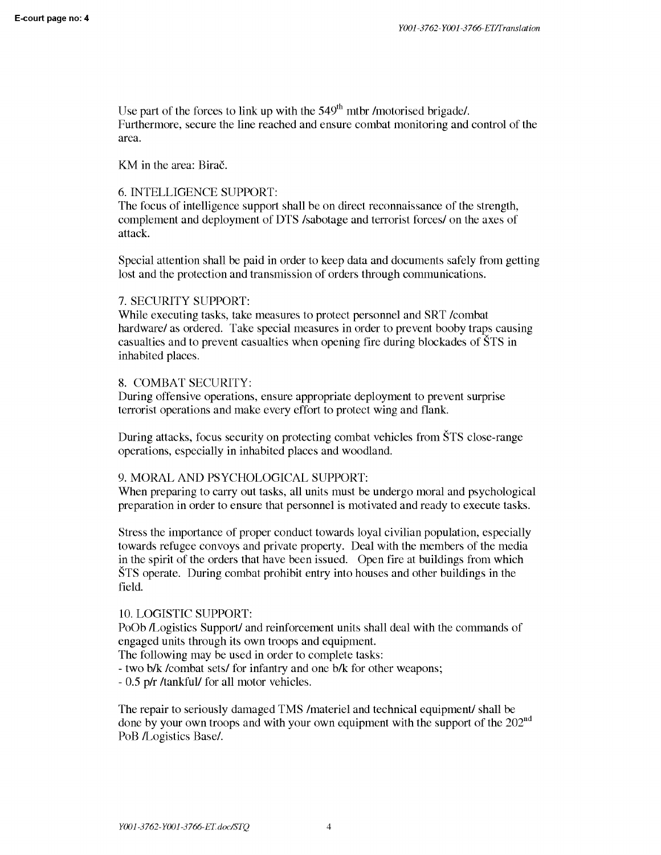Use part of the forces to link up with the  $549<sup>th</sup>$  mtbr /motorised brigade/. Furthermore, secure the line reached and ensure combat monitoring and control of the area.

KM in the area: Birač.

#### 6. INTELLIGENCE SUPPORT:

The focus of intelligence support shall be on direct reconnaissance of the strength, complement and deployment of DTS /sabotage and terrorist forces/ on the axes of attack.

Special attention shall be paid in order to keep data and documents safely from getting lost and the protection and transmission of orders through communications.

#### 7. SECURITY SUPPORT:

While executing tasks, take measures to protect personnel and SRT /combat hardware/ as ordered. Take special measures in order to prevent booby traps causing casualties and to prevent casualties when opening fire during blockades of STS in inhabited places.

#### 8. COMBAT SECURITY:

During offensive operations, ensure appropriate deployment to prevent surprise terrorist operations and make every effort to protect wing and flank.

During attacks, focus security on protecting combat vehicles from STS close-range operations, especially in inhabited places and woodland.

## 9. MORAL AND PSYCHOLOGICAL SUPPORT:

When preparing to carry out tasks, all units must be undergo moral and psychological preparation in order to ensure that personnel is motivated and ready to execute tasks.

Stress the importance of proper conduct towards loyal civilian population, especially towards refugee convoys and private property. Deal with the members of the media in the spirit of the orders that have been issued. Open fire at buildings from which STS operate. During combat prohibit entry into houses and other buildings in the field.

#### 10. LOGISTIC SUPPORT:

PoOb /Logistics Support/ and reinforcement units shall deal with the commands of engaged units through its own troops and equipment.

The following may be used in order to complete tasks:

- two b/k /combat sets/ for infantry and one b/k for other weapons;

- 0.5 p/r /tankful/ for all motor vehicles.

The repair to seriously damaged TMS /materiel and technical equipment/ shall be done by your own troops and with your own equipment with the support of the 202<sup>nd</sup> PoB /Logistics Base/.